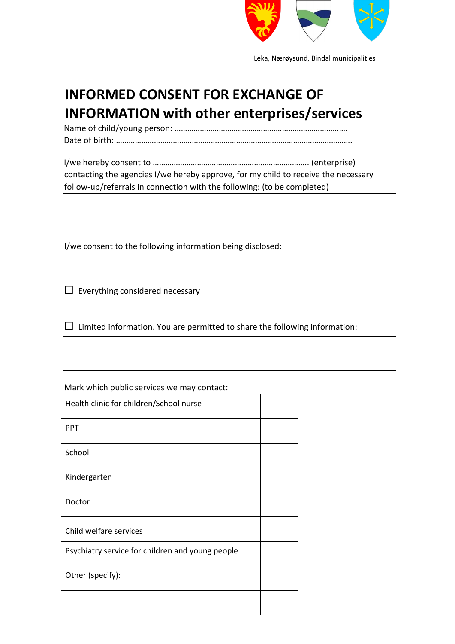

Leka, Nærøysund, Bindal municipalities

## **INFORMED CONSENT FOR EXCHANGE OF INFORMATION with other enterprises/services**

Name of child/young person: ………………………………………………………………………. Date of birth: ………………………………………………………………………………………………….

I/we hereby consent to ……………………………………………………………….. (enterprise) contacting the agencies I/we hereby approve, for my child to receive the necessary follow-up/referrals in connection with the following: (to be completed)

I/we consent to the following information being disclosed:

 $\Box$  Everything considered necessary

 $\square$  Limited information. You are permitted to share the following information:

Mark which public services we may contact:

| Health clinic for children/School nurse          |  |
|--------------------------------------------------|--|
| <b>PPT</b>                                       |  |
| School                                           |  |
| Kindergarten                                     |  |
| Doctor                                           |  |
| Child welfare services                           |  |
| Psychiatry service for children and young people |  |
| Other (specify):                                 |  |
|                                                  |  |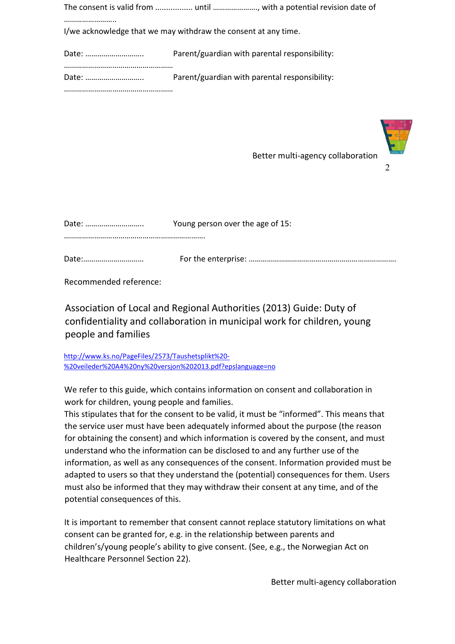|                                                                | The consent is valid from  until , with a potential revision date of |  |
|----------------------------------------------------------------|----------------------------------------------------------------------|--|
| I/we acknowledge that we may withdraw the consent at any time. |                                                                      |  |
|                                                                | Parent/guardian with parental responsibility:                        |  |
|                                                                | Parent/guardian with parental responsibility:                        |  |
|                                                                |                                                                      |  |



Better multi-agency collaboration

 $\mathcal{D}$ 

| Young person over the age of 15: |
|----------------------------------|
|                                  |

Recommended reference:

Association of Local and Regional Authorities (2013) Guide: Duty of confidentiality and collaboration in municipal work for children, young people and families

[http://www.ks.no/PageFiles/2573/Taushetsplikt%20-](http://www.ks.no/PageFiles/2573/Taushetsplikt%20-%20veileder%20A4%20ny%20versjon%202013.pdf?epslanguage=no) [%20veileder%20A4%20ny%20versjon%202013.pdf?epslanguage=no](http://www.ks.no/PageFiles/2573/Taushetsplikt%20-%20veileder%20A4%20ny%20versjon%202013.pdf?epslanguage=no)

We refer to this guide, which contains information on consent and collaboration in work for children, young people and families.

This stipulates that for the consent to be valid, it must be "informed". This means that the service user must have been adequately informed about the purpose (the reason for obtaining the consent) and which information is covered by the consent, and must understand who the information can be disclosed to and any further use of the information, as well as any consequences of the consent. Information provided must be adapted to users so that they understand the (potential) consequences for them. Users must also be informed that they may withdraw their consent at any time, and of the potential consequences of this.

It is important to remember that consent cannot replace statutory limitations on what consent can be granted for, e.g. in the relationship between parents and children's/young people's ability to give consent. (See, e.g., the Norwegian Act on Healthcare Personnel Section 22).

Better multi-agency collaboration